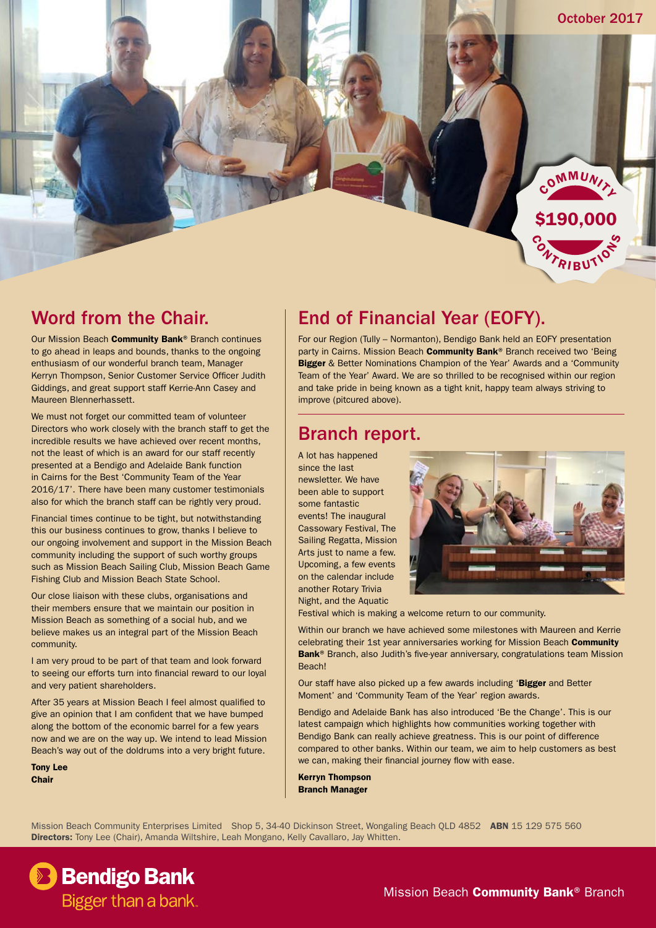

#### Word from the Chair.

Our Mission Beach **Community Bank®** Branch continues to go ahead in leaps and bounds, thanks to the ongoing enthusiasm of our wonderful branch team, Manager Kerryn Thompson, Senior Customer Service Officer Judith Giddings, and great support staff Kerrie-Ann Casey and Maureen Blennerhassett.

We must not forget our committed team of volunteer Directors who work closely with the branch staff to get the incredible results we have achieved over recent months, not the least of which is an award for our staff recently presented at a Bendigo and Adelaide Bank function in Cairns for the Best 'Community Team of the Year 2016/17'. There have been many customer testimonials also for which the branch staff can be rightly very proud.

Financial times continue to be tight, but notwithstanding this our business continues to grow, thanks I believe to our ongoing involvement and support in the Mission Beach community including the support of such worthy groups such as Mission Beach Sailing Club, Mission Beach Game Fishing Club and Mission Beach State School.

Our close liaison with these clubs, organisations and their members ensure that we maintain our position in Mission Beach as something of a social hub, and we believe makes us an integral part of the Mission Beach community.

I am very proud to be part of that team and look forward to seeing our efforts turn into financial reward to our loyal and very patient shareholders.

After 35 years at Mission Beach I feel almost qualified to give an opinion that I am confident that we have bumped along the bottom of the economic barrel for a few years now and we are on the way up. We intend to lead Mission Beach's way out of the doldrums into a very bright future.

Tony Lee **Chair** 

## End of Financial Year (EOFY).

For our Region (Tully – Normanton), Bendigo Bank held an EOFY presentation party in Cairns. Mission Beach Community Bank® Branch received two 'Being Bigger & Better Nominations Champion of the Year' Awards and a 'Community Team of the Year' Award. We are so thrilled to be recognised within our region and take pride in being known as a tight knit, happy team always striving to improve (pitcured above).

#### Branch report.

A lot has happened since the last newsletter. We have been able to support some fantastic events! The inaugural Cassowary Festival, The Sailing Regatta, Mission Arts just to name a few. Upcoming, a few events on the calendar include another Rotary Trivia Night, and the Aquatic



Festival which is making a welcome return to our community.

Within our branch we have achieved some milestones with Maureen and Kerrie celebrating their 1st year anniversaries working for Mission Beach Community Bank<sup>®</sup> Branch, also Judith's five-year anniversary, congratulations team Mission Beach!

Our staff have also picked up a few awards including 'Bigger and Better Moment' and 'Community Team of the Year' region awards.

Bendigo and Adelaide Bank has also introduced 'Be the Change'. This is our latest campaign which highlights how communities working together with Bendigo Bank can really achieve greatness. This is our point of difference compared to other banks. Within our team, we aim to help customers as best we can, making their financial journey flow with ease.

Kerryn Thompson Branch Manager

Mission Beach Community Enterprises Limited Shop 5, 34-40 Dickinson Street, Wongaling Beach QLD 4852 ABN 15 129 575 560 Directors: Tony Lee (Chair), Amanda Wiltshire, Leah Mongano, Kelly Cavallaro, Jay Whitten.